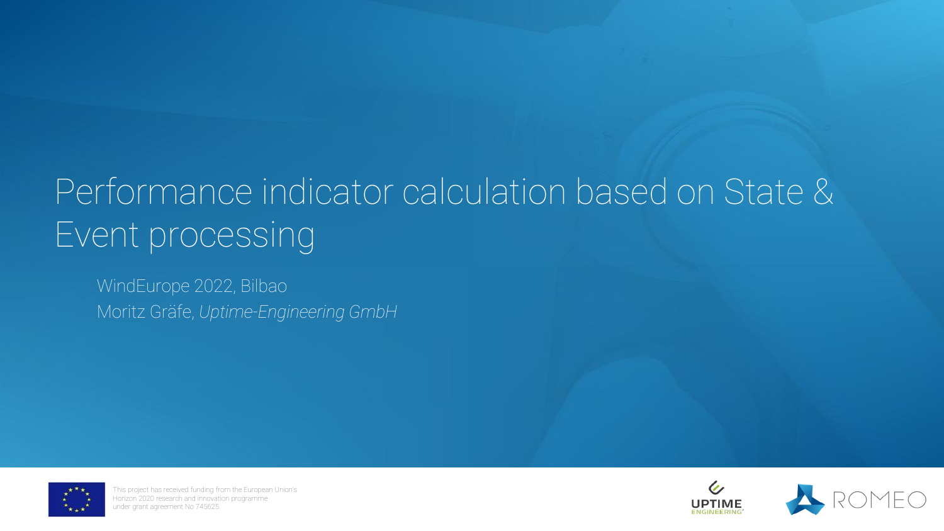# Performance indicator calculation based on State & Event processing

WindEurope 2022, Bilbao Moritz Gräfe, *Uptime-Engineering GmbH*



This project has received funding from the European Union's Horizon 2020 research and innovation programme under grant agreement No 745625.



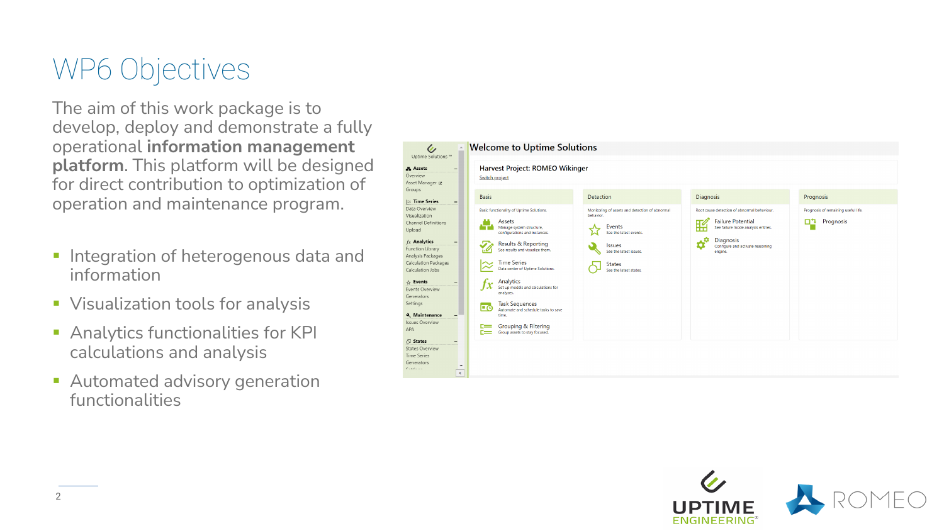### WP6 Objectives

The aim of this work package is to develop, deploy and demonstrate a fully operational **information management platform**. This platform will be designed for direct contribution to optimization of operation and maintenance program.

- **·** Integration of heterogenous data and information
- Visualization tools for analysis
- Analytics functionalities for KPI calculations and analysis
- **E** Automated advisory generation functionalities



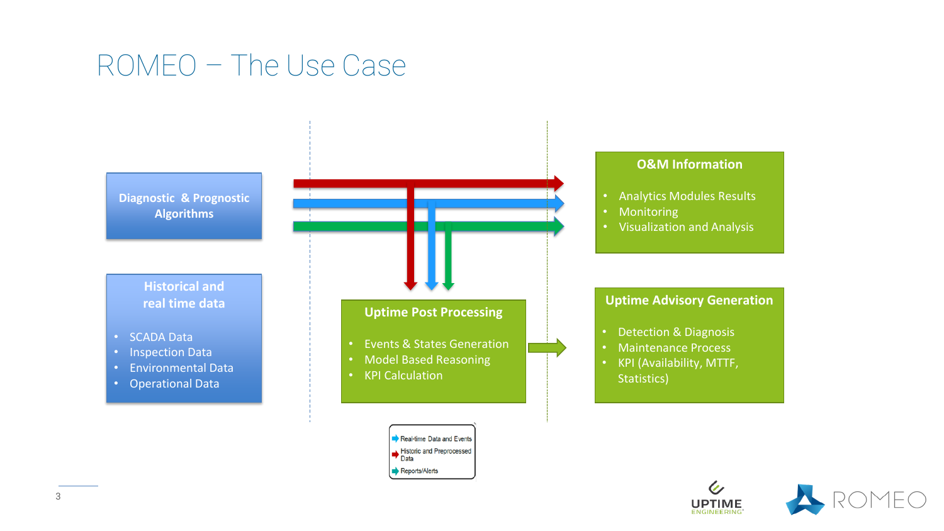### ROMEO – The Use Case



Data Reports/Alerts



 $\mathcal{C}_{\mathbb{Z}}$ 

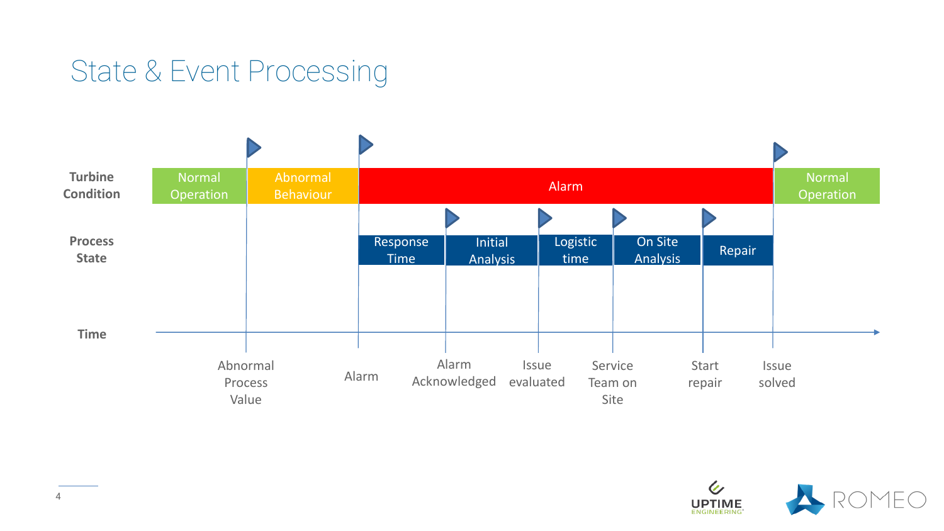

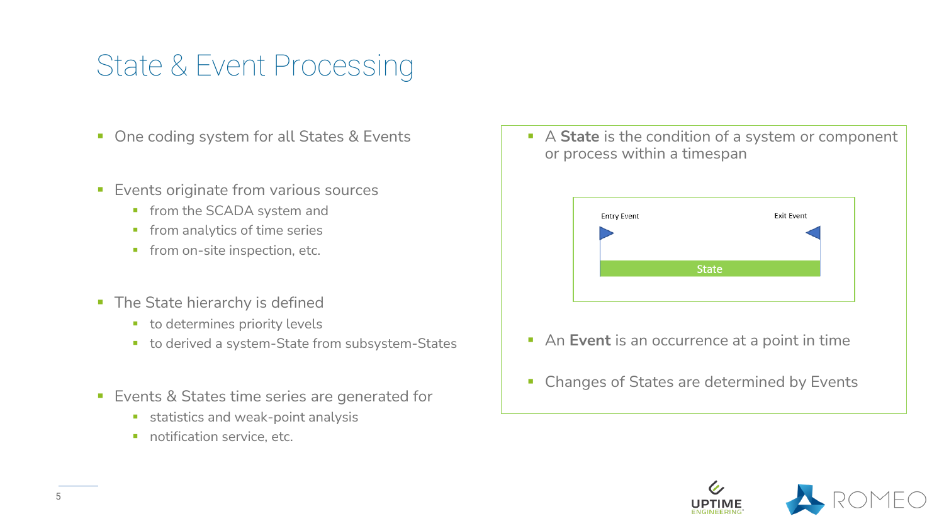- One coding system for all States & Events
- **Exents originate from various sources** 
	- **·** from the SCADA system and
	- **•** from analytics of time series
	- **·** from on-site inspection, etc.
- **The State hierarchy is defined** 
	- to determines priority levels
	- to derived a system-State from subsystem-States
- Events & States time series are generated for
	- **E** statistics and weak-point analysis
	- **·** notification service, etc.

■ A **State** is the condition of a system or component or process within a timespan



- An **Event** is an occurrence at a point in time
- Changes of States are determined by Events

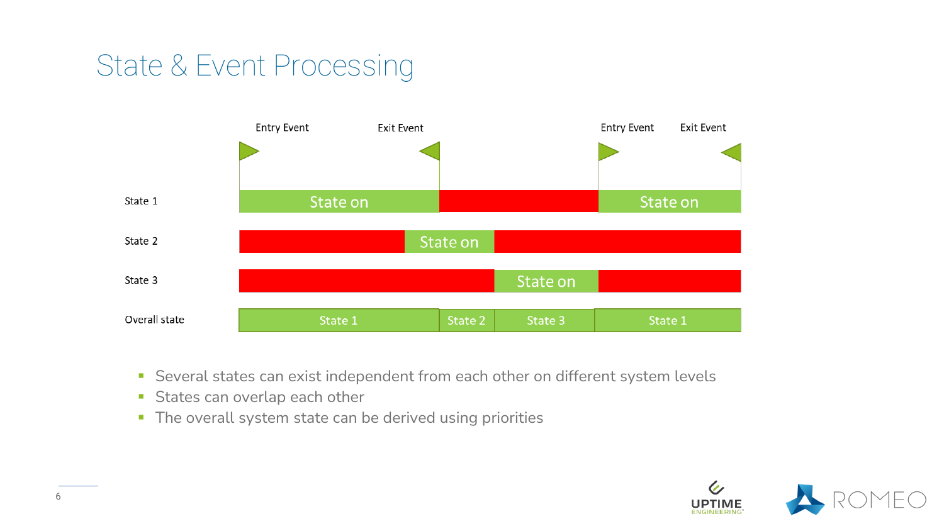

- **EXECTE Several states can exist independent from each other on different system levels**
- **EXTEN States can overlap each other**
- **The overall system state can be derived using priorities**

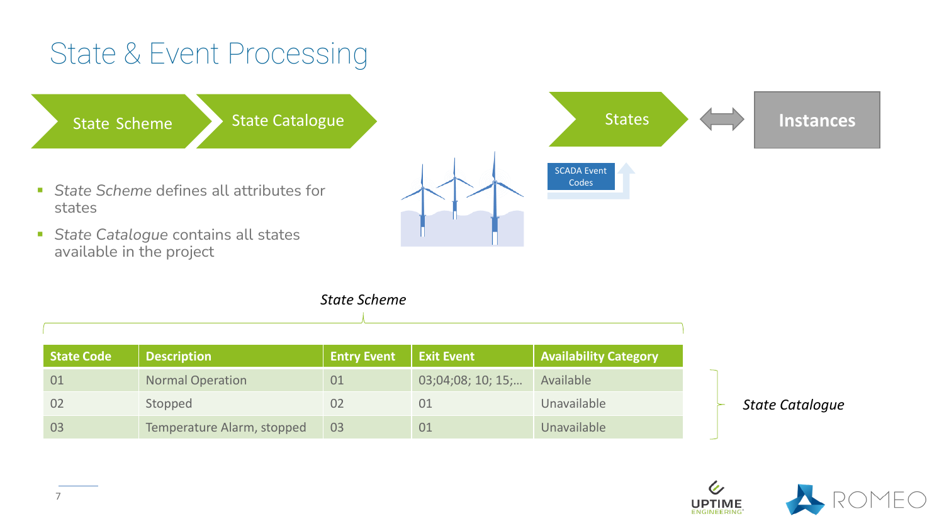

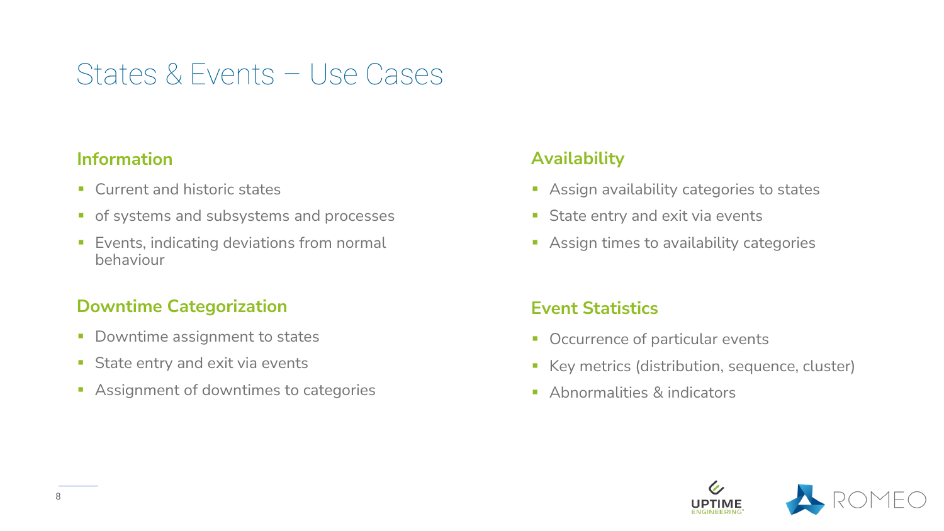### States & Events – Use Cases

#### **Information**

- Current and historic states
- **•** of systems and subsystems and processes
- Events, indicating deviations from normal behaviour

#### **Downtime Categorization**

- **Downtime assignment to states**
- **EXT** State entry and exit via events
- Assignment of downtimes to categories

### **Availability**

- Assign availability categories to states
- **EXTED State entry and exit via events**
- Assign times to availability categories

### **Event Statistics**

- Occurrence of particular events
- Key metrics (distribution, sequence, cluster)
- **E** Abnormalities & indicators